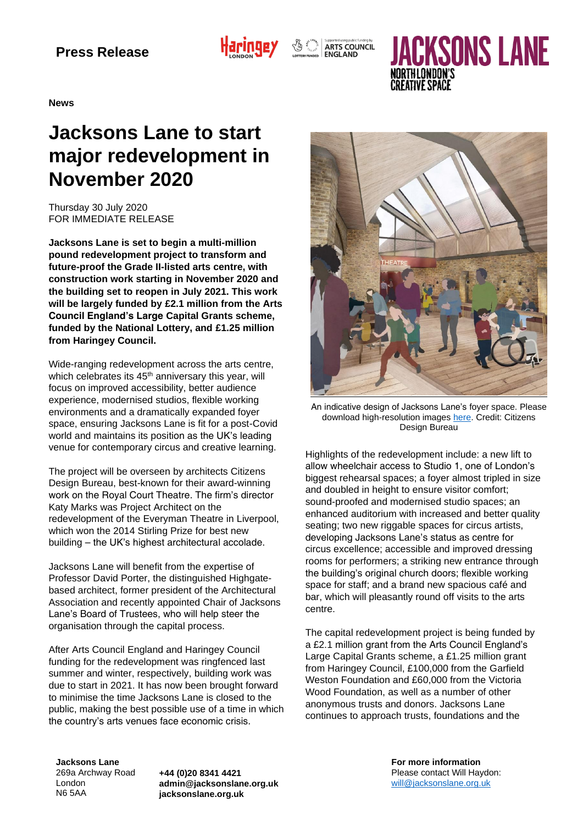

 $\sqrt{\mathcal{L}}$   $\int_{\mathcal{L}_{\text{SUS}}^{\text{SUSP}}}\left|\int_{\text{ARTS}}^{\text{Supported using public funding by}} \text{ARTS}$ 

# **ACKSONS LANE**

**News**

## **Jacksons Lane to start major redevelopment in November 2020**

Thursday 30 July 2020 FOR IMMEDIATE RELEASE

**Jacksons Lane is set to begin a multi-million pound redevelopment project to transform and future-proof the Grade II-listed arts centre, with construction work starting in November 2020 and the building set to reopen in July 2021. This work will be largely funded by £2.1 million from the Arts Council England's Large Capital Grants scheme, funded by the National Lottery, and £1.25 million from Haringey Council.**

Wide-ranging redevelopment across the arts centre, which celebrates its 45<sup>th</sup> anniversary this year, will focus on improved accessibility, better audience experience, modernised studios, flexible working environments and a dramatically expanded foyer space, ensuring Jacksons Lane is fit for a post-Covid world and maintains its position as the UK's leading venue for contemporary circus and creative learning.

The project will be overseen by architects Citizens Design Bureau, best-known for their award-winning work on the Royal Court Theatre. The firm's director Katy Marks was Project Architect on the redevelopment of the Everyman Theatre in Liverpool, which won the 2014 Stirling Prize for best new building – the UK's highest architectural accolade.

Jacksons Lane will benefit from the expertise of Professor David Porter, the distinguished Highgatebased architect, former president of the Architectural Association and recently appointed Chair of Jacksons Lane's Board of Trustees, who will help steer the organisation through the capital process.

After Arts Council England and Haringey Council funding for the redevelopment was ringfenced last summer and winter, respectively, building work was due to start in 2021. It has now been brought forward to minimise the time Jacksons Lane is closed to the public, making the best possible use of a time in which the country's arts venues face economic crisis.



An indicative design of Jacksons Lane's foyer space. Please download high-resolution images [here.](https://www.dropbox.com/sh/893gkyeswhaod4h/AAD8fpvDgVHJaRLM2NdCEuCDa?dl=0) *Credit: Citizens Design Bureau*

Highlights of the redevelopment include: a new lift to allow wheelchair access to Studio 1, one of London's biggest rehearsal spaces; a foyer almost tripled in size and doubled in height to ensure visitor comfort; sound-proofed and modernised studio spaces; an enhanced auditorium with increased and better quality seating; two new riggable spaces for circus artists, developing Jacksons Lane's status as centre for circus excellence; accessible and improved dressing rooms for performers; a striking new entrance through the building's original church doors; flexible working space for staff; and a brand new spacious café and bar, which will pleasantly round off visits to the arts centre.

The capital redevelopment project is being funded by a £2.1 million grant from the Arts Council England's Large Capital Grants scheme, a £1.25 million grant from Haringey Council, £100,000 from the Garfield Weston Foundation and £60,000 from the Victoria Wood Foundation, as well as a number of other anonymous trusts and donors. Jacksons Lane continues to approach trusts, foundations and the

**Jacksons Lane** 269a Archway Road London N6 5AA

**+44 (0)20 8341 4421 admin@jacksonslane.org.uk jacksonslane.org.uk**

**For more information** Please contact Will Haydon: [will@jacksonslane.org.uk](mailto:will@jacksonslane.org.uk)